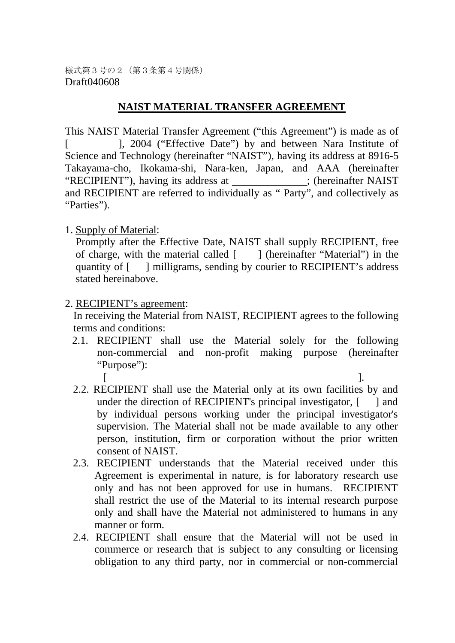## **NAIST MATERIAL TRANSFER AGREEMENT**

This NAIST Material Transfer Agreement ("this Agreement") is made as of [ ], 2004 ("Effective Date") by and between Nara Institute of Science and Technology (hereinafter "NAIST"), having its address at 8916-5 Takayama-cho, Ikokama-shi, Nara-ken, Japan, and AAA (hereinafter "RECIPIENT"), having its address at \_\_\_\_\_\_\_\_\_\_\_\_; (hereinafter NAIST and RECIPIENT are referred to individually as "Party", and collectively as "Parties").

1. Supply of Material:

Promptly after the Effective Date, NAIST shall supply RECIPIENT, free of charge, with the material called [ ] (hereinafter "Material") in the quantity of [ ] milligrams, sending by courier to RECIPIENT's address stated hereinabove.

2. RECIPIENT's agreement:

In receiving the Material from NAIST, RECIPIENT agrees to the following terms and conditions:

- 2.1. RECIPIENT shall use the Material solely for the following non-commercial and non-profit making purpose (hereinafter "Purpose":
- $[$   $]$ . 2.2. RECIPIENT shall use the Material only at its own facilities by and under the direction of RECIPIENT's principal investigator, [ ] and by individual persons working under the principal investigator's supervision. The Material shall not be made available to any other person, institution, firm or corporation without the prior written consent of NAIST.
- 2.3. RECIPIENT understands that the Material received under this Agreement is experimental in nature, is for laboratory research use only and has not been approved for use in humans. RECIPIENT shall restrict the use of the Material to its internal research purpose only and shall have the Material not administered to humans in any manner or form.
- 2.4. RECIPIENT shall ensure that the Material will not be used in commerce or research that is subject to any consulting or licensing obligation to any third party, nor in commercial or non-commercial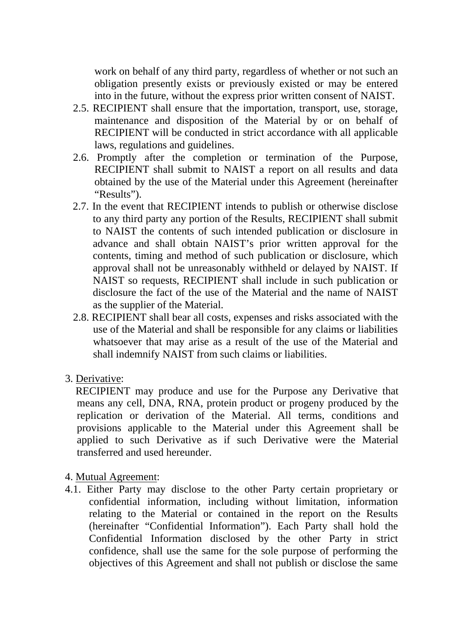work on behalf of any third party, regardless of whether or not such an obligation presently exists or previously existed or may be entered into in the future, without the express prior written consent of NAIST.

- 2.5. RECIPIENT shall ensure that the importation, transport, use, storage, maintenance and disposition of the Material by or on behalf of RECIPIENT will be conducted in strict accordance with all applicable laws, regulations and guidelines.
- 2.6. Promptly after the completion or termination of the Purpose, RECIPIENT shall submit to NAIST a report on all results and data obtained by the use of the Material under this Agreement (hereinafter "Results").
- 2.7. In the event that RECIPIENT intends to publish or otherwise disclose to any third party any portion of the Results, RECIPIENT shall submit to NAIST the contents of such intended publication or disclosure in advance and shall obtain NAIST's prior written approval for the contents, timing and method of such publication or disclosure, which approval shall not be unreasonably withheld or delayed by NAIST. If NAIST so requests, RECIPIENT shall include in such publication or disclosure the fact of the use of the Material and the name of NAIST as the supplier of the Material.
- 2.8. RECIPIENT shall bear all costs, expenses and risks associated with the use of the Material and shall be responsible for any claims or liabilities whatsoever that may arise as a result of the use of the Material and shall indemnify NAIST from such claims or liabilities.
- 3. Derivative:

RECIPIENT may produce and use for the Purpose any Derivative that means any cell, DNA, RNA, protein product or progeny produced by the replication or derivation of the Material. All terms, conditions and provisions applicable to the Material under this Agreement shall be applied to such Derivative as if such Derivative were the Material transferred and used hereunder.

- 4. Mutual Agreement:
- 4.1. Either Party may disclose to the other Party certain proprietary or confidential information, including without limitation, information relating to the Material or contained in the report on the Results (hereinafter "Confidential Information"). Each Party shall hold the Confidential Information disclosed by the other Party in strict confidence, shall use the same for the sole purpose of performing the objectives of this Agreement and shall not publish or disclose the same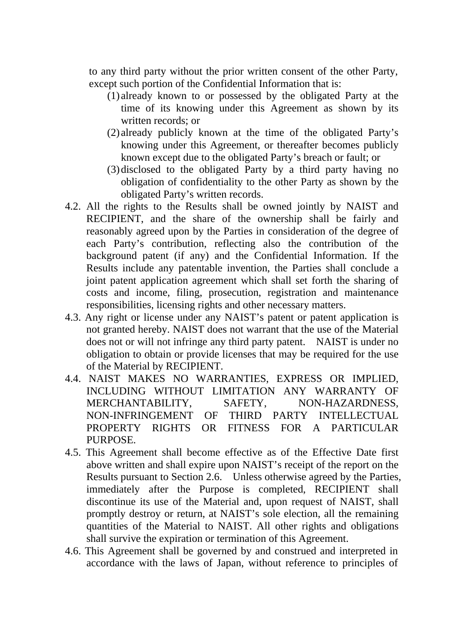to any third party without the prior written consent of the other Party, except such portion of the Confidential Information that is:

- (1) already known to or possessed by the obligated Party at the time of its knowing under this Agreement as shown by its written records; or
- (2) already publicly known at the time of the obligated Party's knowing under this Agreement, or thereafter becomes publicly known except due to the obligated Party's breach or fault; or
- (3)disclosed to the obligated Party by a third party having no obligation of confidentiality to the other Party as shown by the obligated Party's written records.
- 4.2. All the rights to the Results shall be owned jointly by NAIST and RECIPIENT, and the share of the ownership shall be fairly and reasonably agreed upon by the Parties in consideration of the degree of each Party's contribution, reflecting also the contribution of the background patent (if any) and the Confidential Information. If the Results include any patentable invention, the Parties shall conclude a joint patent application agreement which shall set forth the sharing of costs and income, filing, prosecution, registration and maintenance responsibilities, licensing rights and other necessary matters.
- 4.3. Any right or license under any NAIST's patent or patent application is not granted hereby. NAIST does not warrant that the use of the Material does not or will not infringe any third party patent. NAIST is under no obligation to obtain or provide licenses that may be required for the use of the Material by RECIPIENT.
- 4.4. NAIST MAKES NO WARRANTIES, EXPRESS OR IMPLIED, INCLUDING WITHOUT LIMITATION ANY WARRANTY OF MERCHANTABILITY, SAFETY, NON-HAZARDNESS, NON-INFRINGEMENT OF THIRD PARTY INTELLECTUAL PROPERTY RIGHTS OR FITNESS FOR A PARTICULAR PURPOSE.
- 4.5. This Agreement shall become effective as of the Effective Date first above written and shall expire upon NAIST's receipt of the report on the Results pursuant to Section 2.6. Unless otherwise agreed by the Parties, immediately after the Purpose is completed, RECIPIENT shall discontinue its use of the Material and, upon request of NAIST, shall promptly destroy or return, at NAIST's sole election, all the remaining quantities of the Material to NAIST. All other rights and obligations shall survive the expiration or termination of this Agreement.
- 4.6. This Agreement shall be governed by and construed and interpreted in accordance with the laws of Japan, without reference to principles of